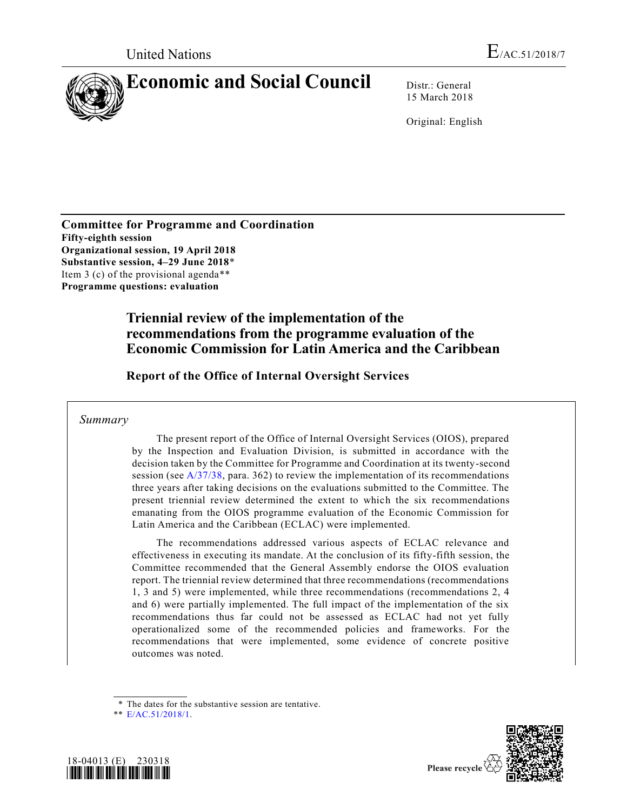

15 March 2018

Original: English

**Committee for Programme and Coordination Fifty-eighth session Organizational session, 19 April 2018 Substantive session, 4–29 June 2018**\* Item 3 (c) of the provisional agenda\*\* **Programme questions: evaluation**

# **Triennial review of the implementation of the recommendations from the programme evaluation of the Economic Commission for Latin America and the Caribbean**

**Report of the Office of Internal Oversight Services**

## *Summary*

The present report of the Office of Internal Oversight Services (OIOS), prepared by the Inspection and Evaluation Division, is submitted in accordance with the decision taken by the Committee for Programme and Coordination at its twenty-second session (see  $A/37/38$ , para. 362) to review the implementation of its recommendations three years after taking decisions on the evaluations submitted to the Committee. The present triennial review determined the extent to which the six recommendations emanating from the OIOS programme evaluation of the Economic Commission for Latin America and the Caribbean (ECLAC) were implemented.

The recommendations addressed various aspects of ECLAC relevance and effectiveness in executing its mandate. At the conclusion of its fifty-fifth session, the Committee recommended that the General Assembly endorse the OIOS evaluation report. The triennial review determined that three recommendations (recommendations 1, 3 and 5) were implemented, while three recommendations (recommendations 2, 4 and 6) were partially implemented. The full impact of the implementation of the six recommendations thus far could not be assessed as ECLAC had not yet fully operationalized some of the recommended policies and frameworks. For the recommendations that were implemented, some evidence of concrete positive outcomes was noted.

<sup>\*\*</sup> [E/AC.51/2018/1.](https://undocs.org/E/AC.51/2018/1)





<sup>\*</sup> The dates for the substantive session are tentative.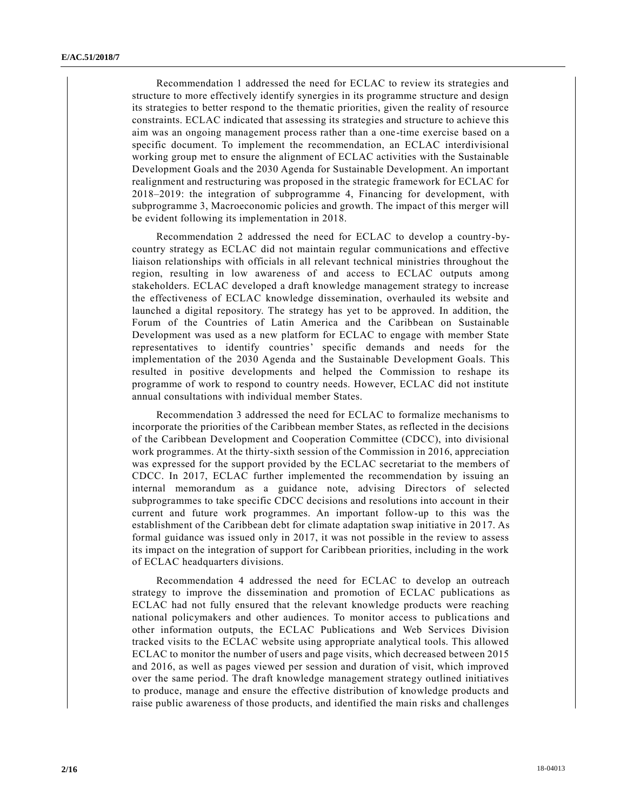Recommendation 1 addressed the need for ECLAC to review its strategies and structure to more effectively identify synergies in its programme structure and design its strategies to better respond to the thematic priorities, given the reality of resource constraints. ECLAC indicated that assessing its strategies and structure to achieve this aim was an ongoing management process rather than a one-time exercise based on a specific document. To implement the recommendation, an ECLAC interdivisional working group met to ensure the alignment of ECLAC activities with the Sustainable Development Goals and the 2030 Agenda for Sustainable Development. An important realignment and restructuring was proposed in the strategic framework for ECLAC for 2018–2019: the integration of subprogramme 4, Financing for development, with subprogramme 3, Macroeconomic policies and growth. The impact of this merger will be evident following its implementation in 2018.

Recommendation 2 addressed the need for ECLAC to develop a country-bycountry strategy as ECLAC did not maintain regular communications and effective liaison relationships with officials in all relevant technical ministries throughout the region, resulting in low awareness of and access to ECLAC outputs among stakeholders. ECLAC developed a draft knowledge management strategy to increase the effectiveness of ECLAC knowledge dissemination, overhauled its website and launched a digital repository. The strategy has yet to be approved. In addition, the Forum of the Countries of Latin America and the Caribbean on Sustainable Development was used as a new platform for ECLAC to engage with member State representatives to identify countries' specific demands and needs for the implementation of the 2030 Agenda and the Sustainable Development Goals. This resulted in positive developments and helped the Commission to reshape its programme of work to respond to country needs. However, ECLAC did not institute annual consultations with individual member States.

Recommendation 3 addressed the need for ECLAC to formalize mechanisms to incorporate the priorities of the Caribbean member States, as reflected in the decisions of the Caribbean Development and Cooperation Committee (CDCC), into divisional work programmes. At the thirty-sixth session of the Commission in 2016, appreciation was expressed for the support provided by the ECLAC secretariat to the members of CDCC. In 2017, ECLAC further implemented the recommendation by issuing an internal memorandum as a guidance note, advising Directors of selected subprogrammes to take specific CDCC decisions and resolutions into account in their current and future work programmes. An important follow-up to this was the establishment of the Caribbean debt for climate adaptation swap initiative in 20 17. As formal guidance was issued only in 2017, it was not possible in the review to assess its impact on the integration of support for Caribbean priorities, including in the work of ECLAC headquarters divisions.

Recommendation 4 addressed the need for ECLAC to develop an outreach strategy to improve the dissemination and promotion of ECLAC publications as ECLAC had not fully ensured that the relevant knowledge products were reaching national policymakers and other audiences. To monitor access to publications and other information outputs, the ECLAC Publications and Web Services Division tracked visits to the ECLAC website using appropriate analytical tools. This allowed ECLAC to monitor the number of users and page visits, which decreased between 2015 and 2016, as well as pages viewed per session and duration of visit, which improved over the same period. The draft knowledge management strategy outlined initiatives to produce, manage and ensure the effective distribution of knowledge products and raise public awareness of those products, and identified the main risks and challenges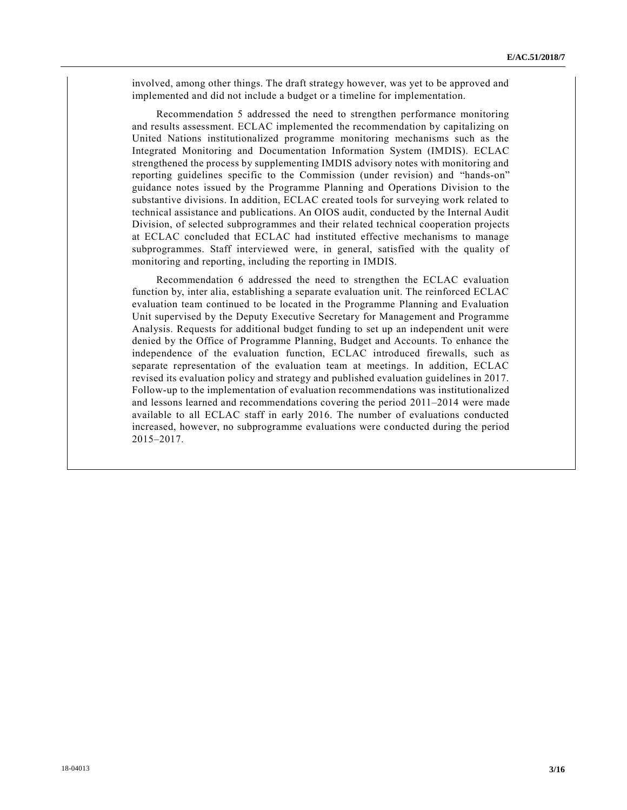involved, among other things. The draft strategy however, was yet to be approved and implemented and did not include a budget or a timeline for implementation.

Recommendation 5 addressed the need to strengthen performance monitoring and results assessment. ECLAC implemented the recommendation by capitalizing on United Nations institutionalized programme monitoring mechanisms such as the Integrated Monitoring and Documentation Information System (IMDIS). ECLAC strengthened the process by supplementing IMDIS advisory notes with monitoring and reporting guidelines specific to the Commission (under revision) and "hands-on" guidance notes issued by the Programme Planning and Operations Division to the substantive divisions. In addition, ECLAC created tools for surveying work related to technical assistance and publications. An OIOS audit, conducted by the Internal Audit Division, of selected subprogrammes and their related technical cooperation projects at ECLAC concluded that ECLAC had instituted effective mechanisms to manage subprogrammes. Staff interviewed were, in general, satisfied with the quality of monitoring and reporting, including the reporting in IMDIS.

Recommendation 6 addressed the need to strengthen the ECLAC evaluation function by, inter alia, establishing a separate evaluation unit. The reinforced ECLAC evaluation team continued to be located in the Programme Planning and Evaluation Unit supervised by the Deputy Executive Secretary for Management and Programme Analysis. Requests for additional budget funding to set up an independent unit were denied by the Office of Programme Planning, Budget and Accounts. To enhance the independence of the evaluation function, ECLAC introduced firewalls, such as separate representation of the evaluation team at meetings. In addition, ECLAC revised its evaluation policy and strategy and published evaluation guidelines in 2017. Follow-up to the implementation of evaluation recommendations was institutionalized and lessons learned and recommendations covering the period 2011–2014 were made available to all ECLAC staff in early 2016. The number of evaluations conducted increased, however, no subprogramme evaluations were conducted during the period 2015–2017.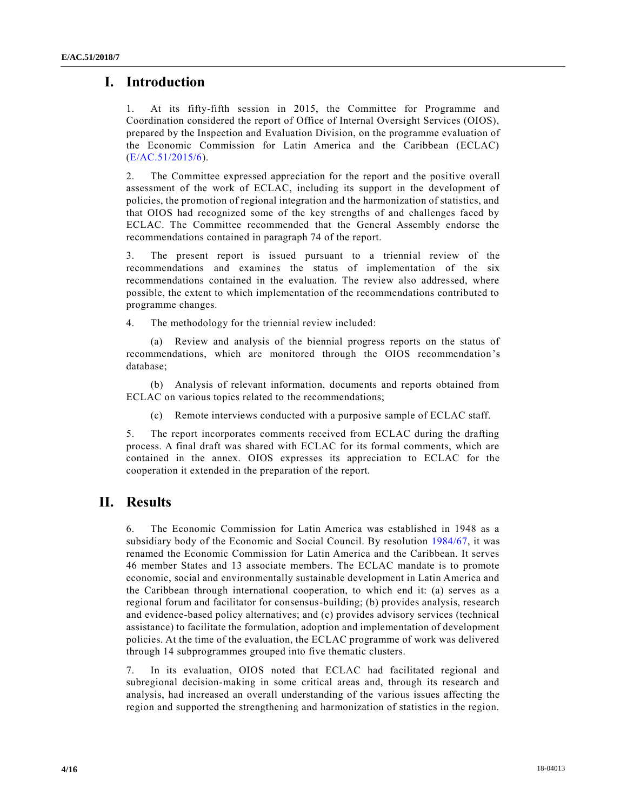# **I. Introduction**

1. At its fifty-fifth session in 2015, the Committee for Programme and Coordination considered the report of Office of Internal Oversight Services (OIOS), prepared by the Inspection and Evaluation Division, on the programme evaluation of the Economic Commission for Latin America and the Caribbean (ECLAC) [\(E/AC.51/2015/6\)](https://undocs.org/E/AC.51/2015/6).

2. The Committee expressed appreciation for the report and the positive overall assessment of the work of ECLAC, including its support in the development of policies, the promotion of regional integration and the harmonization of statistics, and that OIOS had recognized some of the key strengths of and challenges faced by ECLAC. The Committee recommended that the General Assembly endorse the recommendations contained in paragraph 74 of the report.

3. The present report is issued pursuant to a triennial review of the recommendations and examines the status of implementation of the six recommendations contained in the evaluation. The review also addressed, where possible, the extent to which implementation of the recommendations contributed to programme changes.

4. The methodology for the triennial review included:

(a) Review and analysis of the biennial progress reports on the status of recommendations, which are monitored through the OIOS recommendation's database;

(b) Analysis of relevant information, documents and reports obtained from ECLAC on various topics related to the recommendations;

(c) Remote interviews conducted with a purposive sample of ECLAC staff.

5. The report incorporates comments received from ECLAC during the drafting process. A final draft was shared with ECLAC for its formal comments, which are contained in the annex. OIOS expresses its appreciation to ECLAC for the cooperation it extended in the preparation of the report.

# **II. Results**

6. The Economic Commission for Latin America was established in 1948 as a subsidiary body of the Economic and Social Council. By resolution [1984/67,](https://undocs.org/E/RES/1984/67) it was renamed the Economic Commission for Latin America and the Caribbean. It serves 46 member States and 13 associate members. The ECLAC mandate is to promote economic, social and environmentally sustainable development in Latin America and the Caribbean through international cooperation, to which end it: (a) serves as a regional forum and facilitator for consensus-building; (b) provides analysis, research and evidence-based policy alternatives; and (c) provides advisory services (technical assistance) to facilitate the formulation, adoption and implementation of development policies. At the time of the evaluation, the ECLAC programme of work was delivered through 14 subprogrammes grouped into five thematic clusters.

7. In its evaluation, OIOS noted that ECLAC had facilitated regional and subregional decision-making in some critical areas and, through its research and analysis, had increased an overall understanding of the various issues affecting the region and supported the strengthening and harmonization of statistics in the region.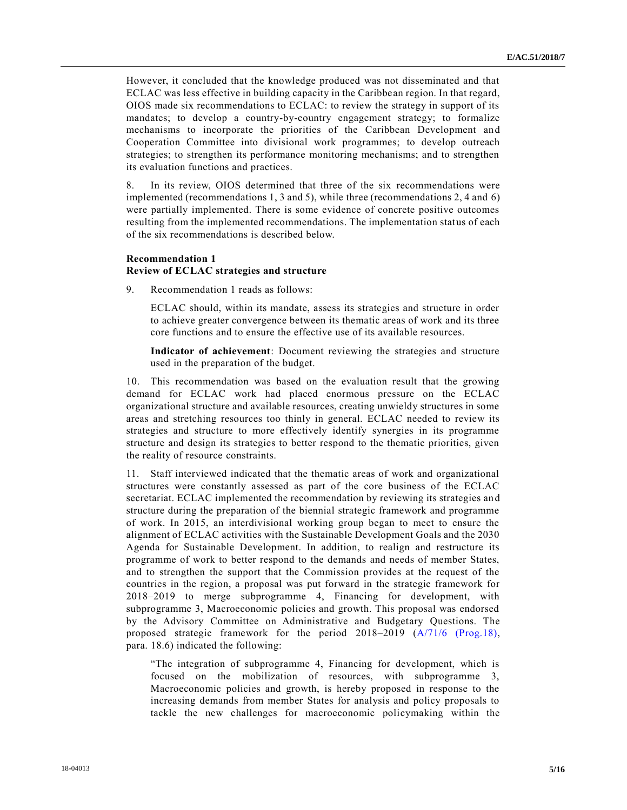However, it concluded that the knowledge produced was not disseminated and that ECLAC was less effective in building capacity in the Caribbean region. In that regard, OIOS made six recommendations to ECLAC: to review the strategy in support of its mandates; to develop a country-by-country engagement strategy; to formalize mechanisms to incorporate the priorities of the Caribbean Development an d Cooperation Committee into divisional work programmes; to develop outreach strategies; to strengthen its performance monitoring mechanisms; and to strengthen its evaluation functions and practices.

8. In its review, OIOS determined that three of the six recommendations were implemented (recommendations 1, 3 and 5), while three (recommendations 2, 4 and 6) were partially implemented. There is some evidence of concrete positive outcomes resulting from the implemented recommendations. The implementation status of each of the six recommendations is described below.

## **Recommendation 1 Review of ECLAC strategies and structure**

9. Recommendation 1 reads as follows:

ECLAC should, within its mandate, assess its strategies and structure in order to achieve greater convergence between its thematic areas of work and its three core functions and to ensure the effective use of its available resources.

**Indicator of achievement**: Document reviewing the strategies and structure used in the preparation of the budget.

10. This recommendation was based on the evaluation result that the growing demand for ECLAC work had placed enormous pressure on the ECLAC organizational structure and available resources, creating unwieldy structures in some areas and stretching resources too thinly in general. ECLAC needed to review its strategies and structure to more effectively identify synergies in its programme structure and design its strategies to better respond to the thematic priorities, given the reality of resource constraints.

11. Staff interviewed indicated that the thematic areas of work and organizational structures were constantly assessed as part of the core business of the ECLAC secretariat. ECLAC implemented the recommendation by reviewing its strategies an d structure during the preparation of the biennial strategic framework and programme of work. In 2015, an interdivisional working group began to meet to ensure the alignment of ECLAC activities with the Sustainable Development Goals and the 2030 Agenda for Sustainable Development. In addition, to realign and restructure its programme of work to better respond to the demands and needs of member States, and to strengthen the support that the Commission provides at the request of the countries in the region, a proposal was put forward in the strategic framework for 2018–2019 to merge subprogramme 4, Financing for development, with subprogramme 3, Macroeconomic policies and growth. This proposal was endorsed by the Advisory Committee on Administrative and Budgetary Questions. The proposed strategic framework for the period 2018–2019 [\(A/71/6 \(Prog.18\),](https://undocs.org/A/71/6(Prog.18)) para. 18.6) indicated the following:

"The integration of subprogramme 4, Financing for development, which is focused on the mobilization of resources, with subprogramme 3, Macroeconomic policies and growth, is hereby proposed in response to the increasing demands from member States for analysis and policy proposals to tackle the new challenges for macroeconomic policymaking within the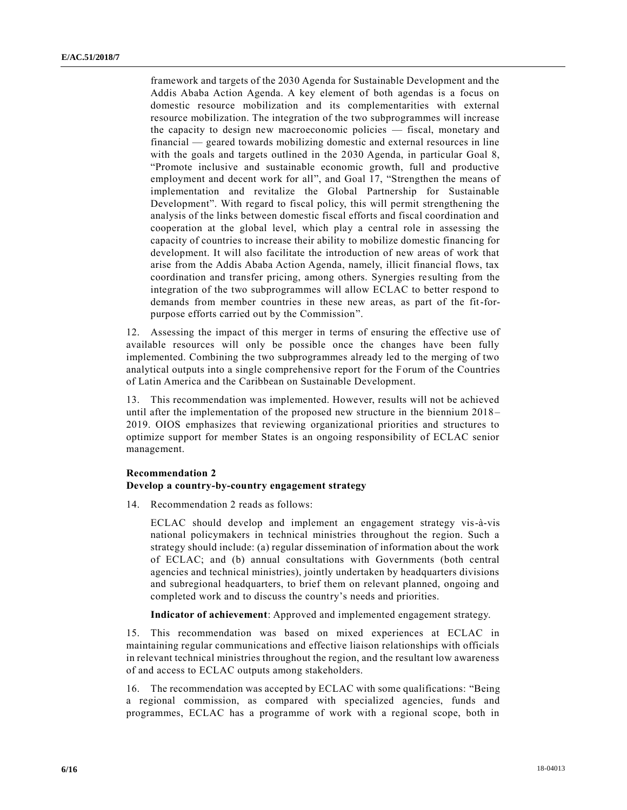framework and targets of the 2030 Agenda for Sustainable Development and the Addis Ababa Action Agenda. A key element of both agendas is a focus on domestic resource mobilization and its complementarities with external resource mobilization. The integration of the two subprogrammes will increase the capacity to design new macroeconomic policies — fiscal, monetary and financial — geared towards mobilizing domestic and external resources in line with the goals and targets outlined in the 2030 Agenda, in particular Goal 8, "Promote inclusive and sustainable economic growth, full and productive employment and decent work for all", and Goal 17, "Strengthen the means of implementation and revitalize the Global Partnership for Sustainable Development". With regard to fiscal policy, this will permit strengthening the analysis of the links between domestic fiscal efforts and fiscal coordination and cooperation at the global level, which play a central role in assessing the capacity of countries to increase their ability to mobilize domestic financing for development. It will also facilitate the introduction of new areas of work that arise from the Addis Ababa Action Agenda, namely, illicit financial flows, tax coordination and transfer pricing, among others. Synergies resulting from the integration of the two subprogrammes will allow ECLAC to better respond to demands from member countries in these new areas, as part of the fit-forpurpose efforts carried out by the Commission".

12. Assessing the impact of this merger in terms of ensuring the effective use of available resources will only be possible once the changes have been fully implemented. Combining the two subprogrammes already led to the merging of two analytical outputs into a single comprehensive report for the Forum of the Countries of Latin America and the Caribbean on Sustainable Development.

13. This recommendation was implemented. However, results will not be achieved until after the implementation of the proposed new structure in the biennium 2018 – 2019. OIOS emphasizes that reviewing organizational priorities and structures to optimize support for member States is an ongoing responsibility of ECLAC senior management.

#### **Recommendation 2**

#### **Develop a country-by-country engagement strategy**

14. Recommendation 2 reads as follows:

ECLAC should develop and implement an engagement strategy vis-à-vis national policymakers in technical ministries throughout the region. Such a strategy should include: (a) regular dissemination of information about the work of ECLAC; and (b) annual consultations with Governments (both central agencies and technical ministries), jointly undertaken by headquarters divisions and subregional headquarters, to brief them on relevant planned, ongoing and completed work and to discuss the country's needs and priorities.

**Indicator of achievement**: Approved and implemented engagement strategy.

15. This recommendation was based on mixed experiences at ECLAC in maintaining regular communications and effective liaison relationships with officials in relevant technical ministries throughout the region, and the resultant low awareness of and access to ECLAC outputs among stakeholders.

16. The recommendation was accepted by ECLAC with some qualifications: "Being a regional commission, as compared with specialized agencies, funds and programmes, ECLAC has a programme of work with a regional scope, both in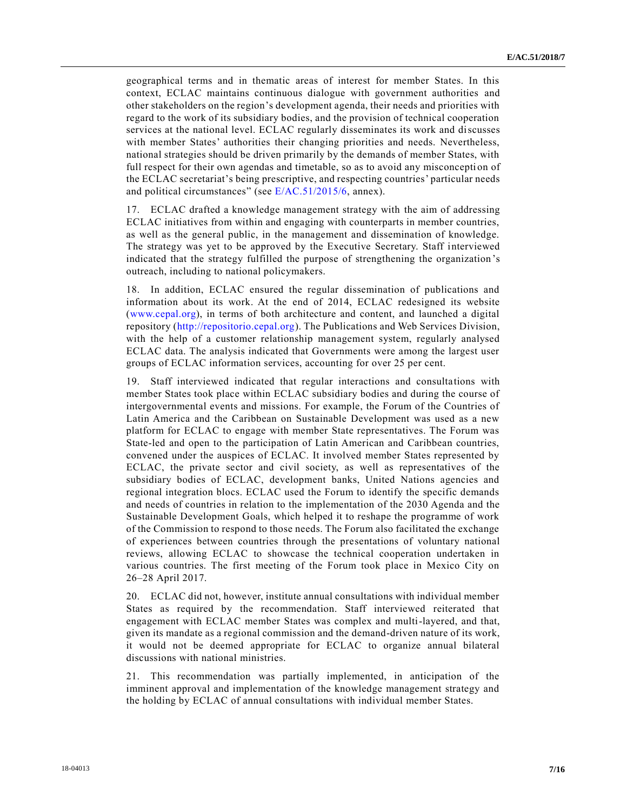geographical terms and in thematic areas of interest for member States. In this context, ECLAC maintains continuous dialogue with government authorities and other stakeholders on the region's development agenda, their needs and priorities with regard to the work of its subsidiary bodies, and the provision of technical cooperation services at the national level. ECLAC regularly disseminates its work and discusses with member States' authorities their changing priorities and needs. Nevertheless, national strategies should be driven primarily by the demands of member States, with full respect for their own agendas and timetable, so as to avoid any misconception of the ECLAC secretariat's being prescriptive, and respecting countries' particular needs and political circumstances" (see [E/AC.51/2015/6,](https://undocs.org/E/AC.51/2015/6) annex).

17. ECLAC drafted a knowledge management strategy with the aim of addressing ECLAC initiatives from within and engaging with counterparts in member countries, as well as the general public, in the management and dissemination of knowledge. The strategy was yet to be approved by the Executive Secretary. Staff interviewed indicated that the strategy fulfilled the purpose of strengthening the organization 's outreach, including to national policymakers.

18. In addition, ECLAC ensured the regular dissemination of publications and information about its work. At the end of 2014, ECLAC redesigned its website [\(www.cepal.org\)](http://www.cepal.org/), in terms of both architecture and content, and launched a digital repository [\(http://repositorio.cepal.org\)](http://repositorio.cepal.org/). The Publications and Web Services Division, with the help of a customer relationship management system, regularly analysed ECLAC data. The analysis indicated that Governments were among the largest user groups of ECLAC information services, accounting for over 25 per cent.

19. Staff interviewed indicated that regular interactions and consultations with member States took place within ECLAC subsidiary bodies and during the course of intergovernmental events and missions. For example, the Forum of the Countries of Latin America and the Caribbean on Sustainable Development was used as a new platform for ECLAC to engage with member State representatives. The Forum was State-led and open to the participation of Latin American and Caribbean countries, convened under the auspices of ECLAC. It involved member States represented by ECLAC, the private sector and civil society, as well as representatives of the subsidiary bodies of ECLAC, development banks, United Nations agencies and regional integration blocs. ECLAC used the Forum to identify the specific demands and needs of countries in relation to the implementation of the 2030 Agenda and the Sustainable Development Goals, which helped it to reshape the programme of work of the Commission to respond to those needs. The Forum also facilitated the exchange of experiences between countries through the presentations of voluntary national reviews, allowing ECLAC to showcase the technical cooperation undertaken in various countries. The first meeting of the Forum took place in Mexico City on 26–28 April 2017.

20. ECLAC did not, however, institute annual consultations with individual member States as required by the recommendation. Staff interviewed reiterated that engagement with ECLAC member States was complex and multi-layered, and that, given its mandate as a regional commission and the demand-driven nature of its work, it would not be deemed appropriate for ECLAC to organize annual bilateral discussions with national ministries.

21. This recommendation was partially implemented, in anticipation of the imminent approval and implementation of the knowledge management strategy and the holding by ECLAC of annual consultations with individual member States.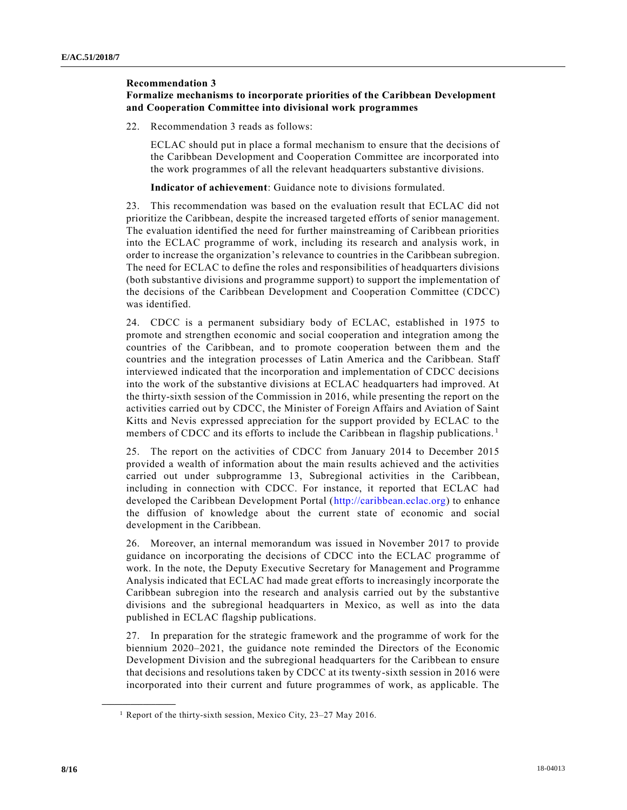#### **Recommendation 3**

## **Formalize mechanisms to incorporate priorities of the Caribbean Development and Cooperation Committee into divisional work programmes**

22. Recommendation 3 reads as follows:

ECLAC should put in place a formal mechanism to ensure that the decisions of the Caribbean Development and Cooperation Committee are incorporated into the work programmes of all the relevant headquarters substantive divisions.

**Indicator of achievement**: Guidance note to divisions formulated.

23. This recommendation was based on the evaluation result that ECLAC did not prioritize the Caribbean, despite the increased targeted efforts of senior management. The evaluation identified the need for further mainstreaming of Caribbean priorities into the ECLAC programme of work, including its research and analysis work, in order to increase the organization's relevance to countries in the Caribbean subregion. The need for ECLAC to define the roles and responsibilities of headquarters divisions (both substantive divisions and programme support) to support the implementation of the decisions of the Caribbean Development and Cooperation Committee (CDCC) was identified.

24. CDCC is a permanent subsidiary body of ECLAC, established in 1975 to promote and strengthen economic and social cooperation and integration among the countries of the Caribbean, and to promote cooperation between them and the countries and the integration processes of Latin America and the Caribbean. Staff interviewed indicated that the incorporation and implementation of CDCC decisions into the work of the substantive divisions at ECLAC headquarters had improved. At the thirty-sixth session of the Commission in 2016, while presenting the report on the activities carried out by CDCC, the Minister of Foreign Affairs and Aviation of Saint Kitts and Nevis expressed appreciation for the support provided by ECLAC to the members of CDCC and its efforts to include the Caribbean in flagship publications. <sup>1</sup>

25. The report on the activities of CDCC from January 2014 to December 2015 provided a wealth of information about the main results achieved and the activities carried out under subprogramme 13, Subregional activities in the Caribbean, including in connection with CDCC. For instance, it reported that ECLAC had developed the Caribbean Development Portal [\(http://caribbean.eclac.org\)](http://caribbean.eclac.org/) to enhance the diffusion of knowledge about the current state of economic and social development in the Caribbean.

26. Moreover, an internal memorandum was issued in November 2017 to provide guidance on incorporating the decisions of CDCC into the ECLAC programme of work. In the note, the Deputy Executive Secretary for Management and Programme Analysis indicated that ECLAC had made great efforts to increasingly incorporate the Caribbean subregion into the research and analysis carried out by the substantive divisions and the subregional headquarters in Mexico, as well as into the data published in ECLAC flagship publications.

27. In preparation for the strategic framework and the programme of work for the biennium 2020–2021, the guidance note reminded the Directors of the Economic Development Division and the subregional headquarters for the Caribbean to ensure that decisions and resolutions taken by CDCC at its twenty-sixth session in 2016 were incorporated into their current and future programmes of work, as applicable. The

**\_\_\_\_\_\_\_\_\_\_\_\_\_\_\_\_\_\_**

<sup>&</sup>lt;sup>1</sup> Report of the thirty-sixth session, Mexico City, 23–27 May 2016.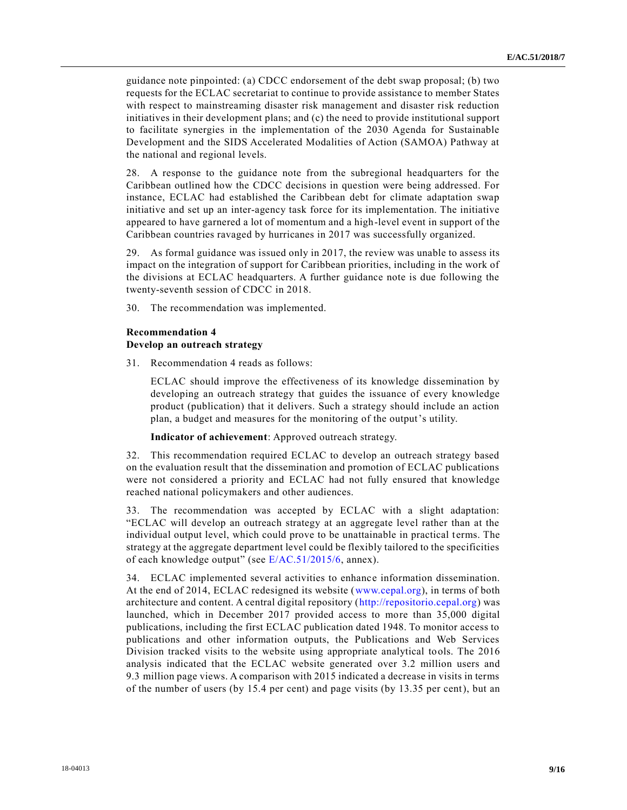guidance note pinpointed: (a) CDCC endorsement of the debt swap proposal; (b) two requests for the ECLAC secretariat to continue to provide assistance to member States with respect to mainstreaming disaster risk management and disaster risk reduction initiatives in their development plans; and (c) the need to provide institutional support to facilitate synergies in the implementation of the 2030 Agenda for Sustainable Development and the SIDS Accelerated Modalities of Action (SAMOA) Pathway at the national and regional levels.

28. A response to the guidance note from the subregional headquarters for the Caribbean outlined how the CDCC decisions in question were being addressed. For instance, ECLAC had established the Caribbean debt for climate adaptation swap initiative and set up an inter-agency task force for its implementation. The initiative appeared to have garnered a lot of momentum and a high-level event in support of the Caribbean countries ravaged by hurricanes in 2017 was successfully organized.

29. As formal guidance was issued only in 2017, the review was unable to assess its impact on the integration of support for Caribbean priorities, including in the work of the divisions at ECLAC headquarters. A further guidance note is due following the twenty-seventh session of CDCC in 2018.

30. The recommendation was implemented.

## **Recommendation 4 Develop an outreach strategy**

31. Recommendation 4 reads as follows:

ECLAC should improve the effectiveness of its knowledge dissemination by developing an outreach strategy that guides the issuance of every knowledge product (publication) that it delivers. Such a strategy should include an action plan, a budget and measures for the monitoring of the output's utility.

**Indicator of achievement**: Approved outreach strategy.

32. This recommendation required ECLAC to develop an outreach strategy based on the evaluation result that the dissemination and promotion of ECLAC publications were not considered a priority and ECLAC had not fully ensured that knowledge reached national policymakers and other audiences.

33. The recommendation was accepted by ECLAC with a slight adaptation: "ECLAC will develop an outreach strategy at an aggregate level rather than at the individual output level, which could prove to be unattainable in practical terms. The strategy at the aggregate department level could be flexibly tailored to the specificities of each knowledge output" (see [E/AC.51/2015/6,](https://undocs.org/E/AC.51/2015/6) annex).

34. ECLAC implemented several activities to enhance information dissemination. At the end of 2014, ECLAC redesigned its website [\(www.cepal.org\)](http://www.cepal.org/), in terms of both architecture and content. A central digital repository [\(http://repositorio.cepal.org\)](http://repositorio.cepal.org/) was launched, which in December 2017 provided access to more than 35,000 digital publications, including the first ECLAC publication dated 1948. To monitor access to publications and other information outputs, the Publications and Web Services Division tracked visits to the website using appropriate analytical tools. The 2016 analysis indicated that the ECLAC website generated over 3.2 million users and 9.3 million page views. A comparison with 2015 indicated a decrease in visits in terms of the number of users (by 15.4 per cent) and page visits (by 13.35 per cent), but an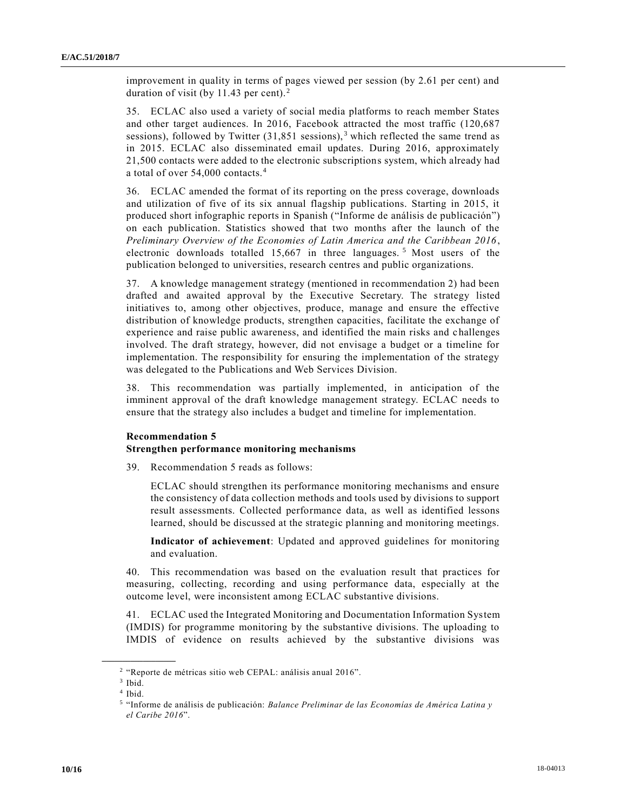improvement in quality in terms of pages viewed per session (by 2.61 per cent) and duration of visit (by 11.43 per cent). <sup>2</sup>

35. ECLAC also used a variety of social media platforms to reach member States and other target audiences. In 2016, Facebook attracted the most traffic (120,687 sessions), followed by Twitter  $(31,851 \text{ sessions})$ , 3 which reflected the same trend as in 2015. ECLAC also disseminated email updates. During 2016, approximately 21,500 contacts were added to the electronic subscriptions system, which already had a total of over 54,000 contacts.<sup>4</sup>

36. ECLAC amended the format of its reporting on the press coverage, downloads and utilization of five of its six annual flagship publications. Starting in 2015, it produced short infographic reports in Spanish ("Informe de análisis de publicación") on each publication. Statistics showed that two months after the launch of the *Preliminary Overview of the Economies of Latin America and the Caribbean 2016* , electronic downloads totalled 15,667 in three languages.<sup>5</sup> Most users of the publication belonged to universities, research centres and public organizations.

37. A knowledge management strategy (mentioned in recommendation 2) had been drafted and awaited approval by the Executive Secretary. The strategy listed initiatives to, among other objectives, produce, manage and ensure the effective distribution of knowledge products, strengthen capacities, facilitate the exchange of experience and raise public awareness, and identified the main risks and challenges involved. The draft strategy, however, did not envisage a budget or a timeline for implementation. The responsibility for ensuring the implementation of the strategy was delegated to the Publications and Web Services Division.

38. This recommendation was partially implemented, in anticipation of the imminent approval of the draft knowledge management strategy. ECLAC needs to ensure that the strategy also includes a budget and timeline for implementation.

#### **Recommendation 5**

### **Strengthen performance monitoring mechanisms**

39. Recommendation 5 reads as follows:

ECLAC should strengthen its performance monitoring mechanisms and ensure the consistency of data collection methods and tools used by divisions to support result assessments. Collected performance data, as well as identified lessons learned, should be discussed at the strategic planning and monitoring meetings.

**Indicator of achievement**: Updated and approved guidelines for monitoring and evaluation.

40. This recommendation was based on the evaluation result that practices for measuring, collecting, recording and using performance data, especially at the outcome level, were inconsistent among ECLAC substantive divisions.

41. ECLAC used the Integrated Monitoring and Documentation Information System (IMDIS) for programme monitoring by the substantive divisions. The uploading to IMDIS of evidence on results achieved by the substantive divisions was

**\_\_\_\_\_\_\_\_\_\_\_\_\_\_\_\_\_\_**

<sup>&</sup>lt;sup>2</sup> "Reporte de métricas sitio web CEPAL: análisis anual 2016".

<sup>3</sup> Ibid.

<sup>4</sup> Ibid.

<sup>5</sup> "Informe de análisis de publicación: *Balance Preliminar de las Economías de América Latina y el Caribe 2016*".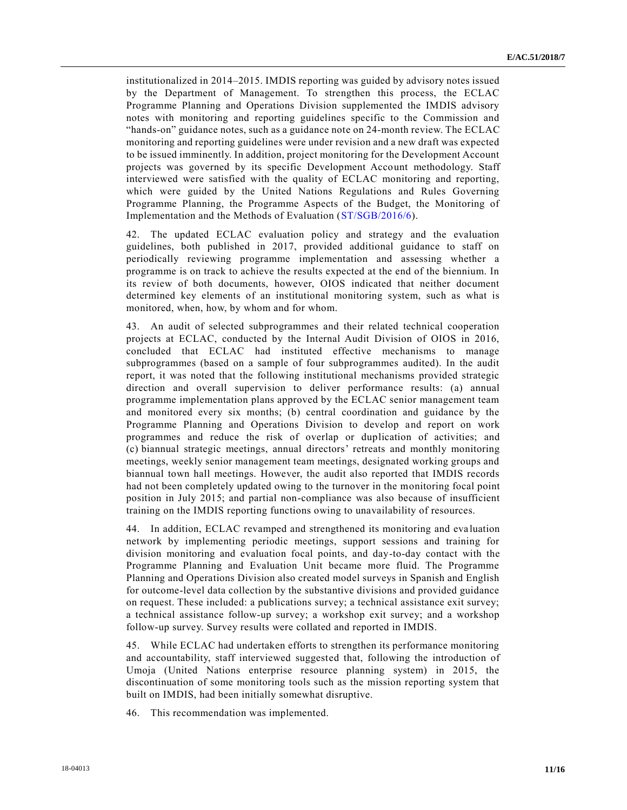institutionalized in 2014–2015. IMDIS reporting was guided by advisory notes issued by the Department of Management. To strengthen this process, the ECLAC Programme Planning and Operations Division supplemented the IMDIS advisory notes with monitoring and reporting guidelines specific to the Commission and "hands-on" guidance notes, such as a guidance note on 24-month review. The ECLAC monitoring and reporting guidelines were under revision and a new draft was expected to be issued imminently. In addition, project monitoring for the Development Account projects was governed by its specific Development Account methodology. Staff interviewed were satisfied with the quality of ECLAC monitoring and reporting, which were guided by the United Nations Regulations and Rules Governing Programme Planning, the Programme Aspects of the Budget, the Monitoring of Implementation and the Methods of Evaluation [\(ST/SGB/2016/6\)](https://undocs.org/ST/SGB/2016/6).

42. The updated ECLAC evaluation policy and strategy and the evaluation guidelines, both published in 2017, provided additional guidance to staff on periodically reviewing programme implementation and assessing whether a programme is on track to achieve the results expected at the end of the biennium. In its review of both documents, however, OIOS indicated that neither document determined key elements of an institutional monitoring system, such as what is monitored, when, how, by whom and for whom.

43. An audit of selected subprogrammes and their related technical cooperation projects at ECLAC, conducted by the Internal Audit Division of OIOS in 2016, concluded that ECLAC had instituted effective mechanisms to manage subprogrammes (based on a sample of four subprogrammes audited). In the audit report, it was noted that the following institutional mechanisms provided strategic direction and overall supervision to deliver performance results: (a) annual programme implementation plans approved by the ECLAC senior management team and monitored every six months; (b) central coordination and guidance by the Programme Planning and Operations Division to develop and report on work programmes and reduce the risk of overlap or duplication of activities; and (c) biannual strategic meetings, annual directors' retreats and monthly monitoring meetings, weekly senior management team meetings, designated working groups and biannual town hall meetings. However, the audit also reported that IMDIS records had not been completely updated owing to the turnover in the monitoring focal point position in July 2015; and partial non-compliance was also because of insufficient training on the IMDIS reporting functions owing to unavailability of resources.

44. In addition, ECLAC revamped and strengthened its monitoring and eva luation network by implementing periodic meetings, support sessions and training for division monitoring and evaluation focal points, and day-to-day contact with the Programme Planning and Evaluation Unit became more fluid. The Programme Planning and Operations Division also created model surveys in Spanish and English for outcome-level data collection by the substantive divisions and provided guidance on request. These included: a publications survey; a technical assistance exit survey; a technical assistance follow-up survey; a workshop exit survey; and a workshop follow-up survey. Survey results were collated and reported in IMDIS.

45. While ECLAC had undertaken efforts to strengthen its performance monitoring and accountability, staff interviewed suggested that, following the introduction of Umoja (United Nations enterprise resource planning system) in 2015, the discontinuation of some monitoring tools such as the mission reporting system that built on IMDIS, had been initially somewhat disruptive.

46. This recommendation was implemented.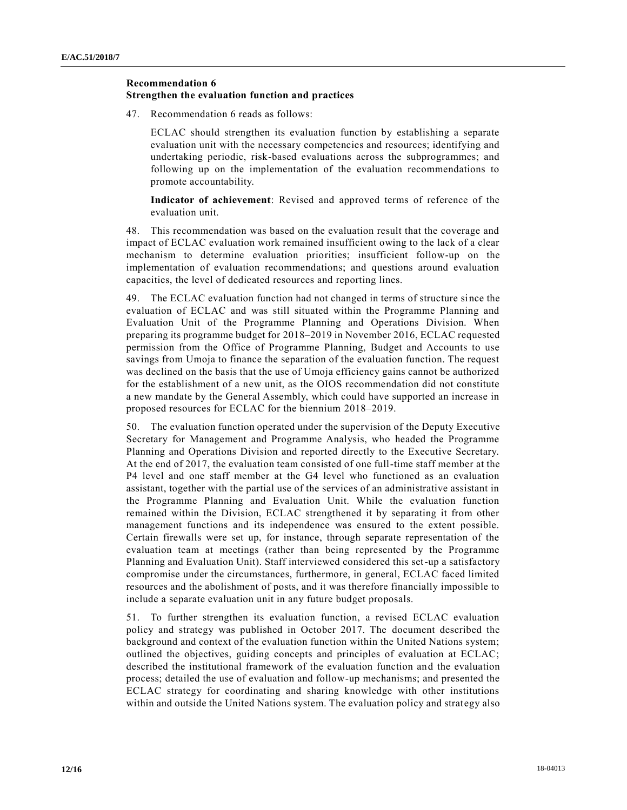### **Recommendation 6**

#### **Strengthen the evaluation function and practices**

47. Recommendation 6 reads as follows:

ECLAC should strengthen its evaluation function by establishing a separate evaluation unit with the necessary competencies and resources; identifying and undertaking periodic, risk-based evaluations across the subprogrammes; and following up on the implementation of the evaluation recommendations to promote accountability.

**Indicator of achievement**: Revised and approved terms of reference of the evaluation unit.

48. This recommendation was based on the evaluation result that the coverage and impact of ECLAC evaluation work remained insufficient owing to the lack of a clear mechanism to determine evaluation priorities; insufficient follow-up on the implementation of evaluation recommendations; and questions around evaluation capacities, the level of dedicated resources and reporting lines.

49. The ECLAC evaluation function had not changed in terms of structure since the evaluation of ECLAC and was still situated within the Programme Planning and Evaluation Unit of the Programme Planning and Operations Division. When preparing its programme budget for 2018–2019 in November 2016, ECLAC requested permission from the Office of Programme Planning, Budget and Accounts to use savings from Umoja to finance the separation of the evaluation function. The request was declined on the basis that the use of Umoja efficiency gains cannot be authorized for the establishment of a new unit, as the OIOS recommendation did not constitute a new mandate by the General Assembly, which could have supported an increase in proposed resources for ECLAC for the biennium 2018–2019.

50. The evaluation function operated under the supervision of the Deputy Executive Secretary for Management and Programme Analysis, who headed the Programme Planning and Operations Division and reported directly to the Executive Secretary. At the end of 2017, the evaluation team consisted of one full-time staff member at the P4 level and one staff member at the G4 level who functioned as an evaluation assistant, together with the partial use of the services of an administrative assistant in the Programme Planning and Evaluation Unit. While the evaluation function remained within the Division, ECLAC strengthened it by separating it from other management functions and its independence was ensured to the extent possible. Certain firewalls were set up, for instance, through separate representation of the evaluation team at meetings (rather than being represented by the Programme Planning and Evaluation Unit). Staff interviewed considered this set-up a satisfactory compromise under the circumstances, furthermore, in general, ECLAC faced limited resources and the abolishment of posts, and it was therefore financially impossible to include a separate evaluation unit in any future budget proposals.

51. To further strengthen its evaluation function, a revised ECLAC evaluation policy and strategy was published in October 2017. The document described the background and context of the evaluation function within the United Nations system; outlined the objectives, guiding concepts and principles of evaluation at ECLAC; described the institutional framework of the evaluation function and the evaluation process; detailed the use of evaluation and follow-up mechanisms; and presented the ECLAC strategy for coordinating and sharing knowledge with other institutions within and outside the United Nations system. The evaluation policy and strategy also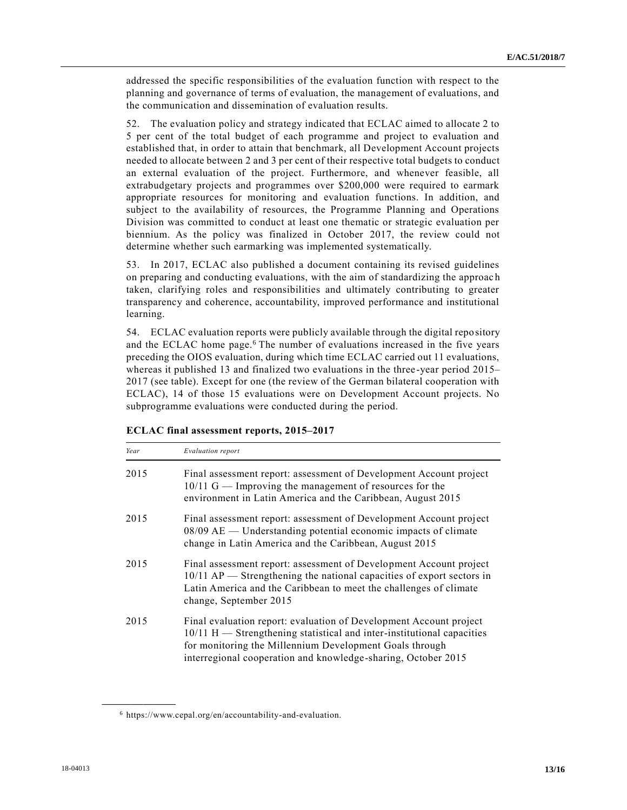addressed the specific responsibilities of the evaluation function with respect to the planning and governance of terms of evaluation, the management of evaluations, and the communication and dissemination of evaluation results.

52. The evaluation policy and strategy indicated that ECLAC aimed to allocate 2 to 5 per cent of the total budget of each programme and project to evaluation and established that, in order to attain that benchmark, all Development Account projects needed to allocate between 2 and 3 per cent of their respective total budgets to conduct an external evaluation of the project. Furthermore, and whenever feasible, all extrabudgetary projects and programmes over \$200,000 were required to earmark appropriate resources for monitoring and evaluation functions. In addition, and subject to the availability of resources, the Programme Planning and Operations Division was committed to conduct at least one thematic or strategic evaluation per biennium. As the policy was finalized in October 2017, the review could not determine whether such earmarking was implemented systematically.

53. In 2017, ECLAC also published a document containing its revised guidelines on preparing and conducting evaluations, with the aim of standardizing the approac h taken, clarifying roles and responsibilities and ultimately contributing to greater transparency and coherence, accountability, improved performance and institutional learning.

54. ECLAC evaluation reports were publicly available through the digital repository and the ECLAC home page.<sup>6</sup> The number of evaluations increased in the five years preceding the OIOS evaluation, during which time ECLAC carried out 11 evaluations, whereas it published 13 and finalized two evaluations in the three -year period 2015– 2017 (see table). Except for one (the review of the German bilateral cooperation with ECLAC), 14 of those 15 evaluations were on Development Account projects. No subprogramme evaluations were conducted during the period.

| ECLAC final assessment reports, 2015-2017 |  |  |  |
|-------------------------------------------|--|--|--|
|-------------------------------------------|--|--|--|

| Year | Evaluation report                                                                                                                                                                                                                                                        |
|------|--------------------------------------------------------------------------------------------------------------------------------------------------------------------------------------------------------------------------------------------------------------------------|
| 2015 | Final assessment report: assessment of Development Account project<br>$10/11$ G — Improving the management of resources for the<br>environment in Latin America and the Caribbean, August 2015                                                                           |
| 2015 | Final assessment report: assessment of Development Account project<br>08/09 AE — Understanding potential economic impacts of climate<br>change in Latin America and the Caribbean, August 2015                                                                           |
| 2015 | Final assessment report: assessment of Development Account project<br>$10/11$ AP — Strengthening the national capacities of export sectors in<br>Latin America and the Caribbean to meet the challenges of climate<br>change, September 2015                             |
| 2015 | Final evaluation report: evaluation of Development Account project<br>10/11 H - Strengthening statistical and inter-institutional capacities<br>for monitoring the Millennium Development Goals through<br>interregional cooperation and knowledge-sharing, October 2015 |

**\_\_\_\_\_\_\_\_\_\_\_\_\_\_\_\_\_\_**

<sup>6</sup> https://www.cepal.org/en/accountability-and-evaluation.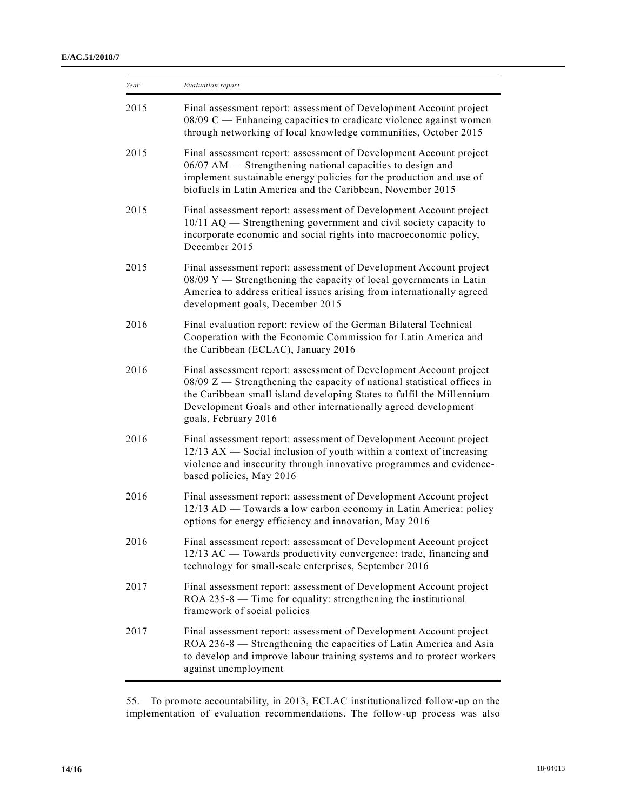| Year | Evaluation report                                                                                                                                                                                                                                                                                                    |  |
|------|----------------------------------------------------------------------------------------------------------------------------------------------------------------------------------------------------------------------------------------------------------------------------------------------------------------------|--|
| 2015 | Final assessment report: assessment of Development Account project<br>$08/09$ C — Enhancing capacities to eradicate violence against women<br>through networking of local knowledge communities, October 2015                                                                                                        |  |
| 2015 | Final assessment report: assessment of Development Account project<br>06/07 AM — Strengthening national capacities to design and<br>implement sustainable energy policies for the production and use of<br>biofuels in Latin America and the Caribbean, November 2015                                                |  |
| 2015 | Final assessment report: assessment of Development Account project<br>10/11 AQ - Strengthening government and civil society capacity to<br>incorporate economic and social rights into macroeconomic policy,<br>December 2015                                                                                        |  |
| 2015 | Final assessment report: assessment of Development Account project<br>$08/09$ Y $-$ Strengthening the capacity of local governments in Latin<br>America to address critical issues arising from internationally agreed<br>development goals, December 2015                                                           |  |
| 2016 | Final evaluation report: review of the German Bilateral Technical<br>Cooperation with the Economic Commission for Latin America and<br>the Caribbean (ECLAC), January 2016                                                                                                                                           |  |
| 2016 | Final assessment report: assessment of Development Account project<br>$08/09$ Z $-$ Strengthening the capacity of national statistical offices in<br>the Caribbean small island developing States to fulfil the Millennium<br>Development Goals and other internationally agreed development<br>goals, February 2016 |  |
| 2016 | Final assessment report: assessment of Development Account project<br>12/13 AX — Social inclusion of youth within a context of increasing<br>violence and insecurity through innovative programmes and evidence-<br>based policies, May 2016                                                                         |  |
| 2016 | Final assessment report: assessment of Development Account project<br>12/13 AD — Towards a low carbon economy in Latin America: policy<br>options for energy efficiency and innovation, May 2016                                                                                                                     |  |
| 2016 | Final assessment report: assessment of Development Account project<br>12/13 AC — Towards productivity convergence: trade, financing and<br>technology for small-scale enterprises, September 2016                                                                                                                    |  |
| 2017 | Final assessment report: assessment of Development Account project<br>$ROA 235-8$ — Time for equality: strengthening the institutional<br>framework of social policies                                                                                                                                               |  |
| 2017 | Final assessment report: assessment of Development Account project<br>ROA 236-8 - Strengthening the capacities of Latin America and Asia<br>to develop and improve labour training systems and to protect workers<br>against unemployment                                                                            |  |

55. To promote accountability, in 2013, ECLAC institutionalized follow-up on the implementation of evaluation recommendations. The follow-up process was also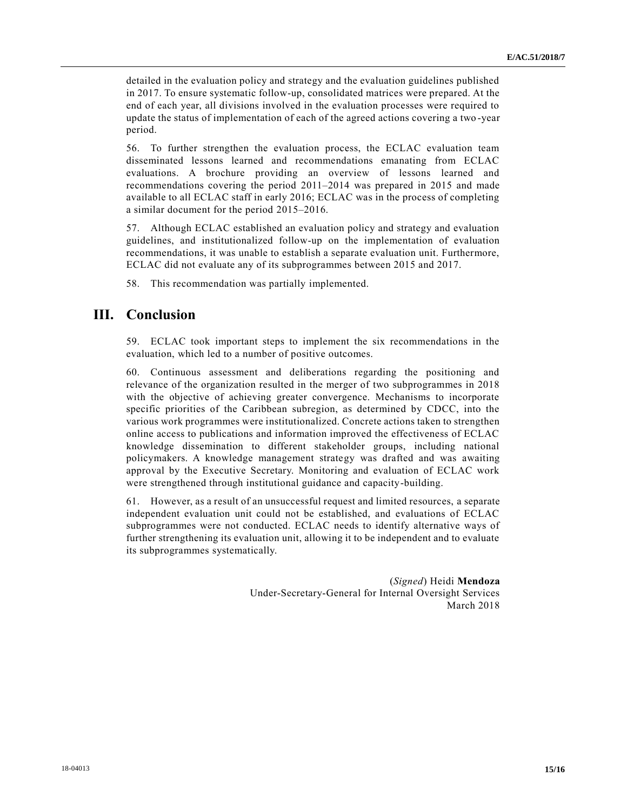detailed in the evaluation policy and strategy and the evaluation guidelines published in 2017. To ensure systematic follow-up, consolidated matrices were prepared. At the end of each year, all divisions involved in the evaluation processes were required to update the status of implementation of each of the agreed actions covering a two -year period.

56. To further strengthen the evaluation process, the ECLAC evaluation team disseminated lessons learned and recommendations emanating from ECLAC evaluations. A brochure providing an overview of lessons learned and recommendations covering the period 2011–2014 was prepared in 2015 and made available to all ECLAC staff in early 2016; ECLAC was in the process of completing a similar document for the period 2015–2016.

57. Although ECLAC established an evaluation policy and strategy and evaluation guidelines, and institutionalized follow-up on the implementation of evaluation recommendations, it was unable to establish a separate evaluation unit. Furthermore, ECLAC did not evaluate any of its subprogrammes between 2015 and 2017.

58. This recommendation was partially implemented.

# **III. Conclusion**

59. ECLAC took important steps to implement the six recommendations in the evaluation, which led to a number of positive outcomes.

60. Continuous assessment and deliberations regarding the positioning and relevance of the organization resulted in the merger of two subprogrammes in 2018 with the objective of achieving greater convergence. Mechanisms to incorporate specific priorities of the Caribbean subregion, as determined by CDCC, into the various work programmes were institutionalized. Concrete actions taken to strengthen online access to publications and information improved the effectiveness of ECLAC knowledge dissemination to different stakeholder groups, including national policymakers. A knowledge management strategy was drafted and was awaiting approval by the Executive Secretary. Monitoring and evaluation of ECLAC work were strengthened through institutional guidance and capacity-building.

61. However, as a result of an unsuccessful request and limited resources, a separate independent evaluation unit could not be established, and evaluations of ECLAC subprogrammes were not conducted. ECLAC needs to identify alternative ways of further strengthening its evaluation unit, allowing it to be independent and to evaluate its subprogrammes systematically.

> (*Signed*) Heidi **Mendoza** Under-Secretary-General for Internal Oversight Services March 2018